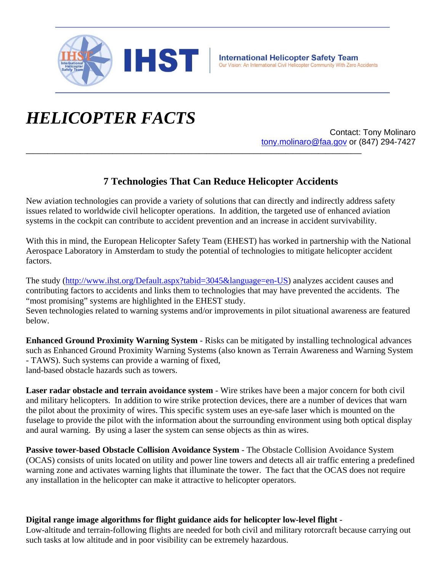

## *HELICOPTER FACTS*

Contact: Tony Molinaro tony.molinaro@faa.gov or (847) 294-7427

## **7 Technologies That Can Reduce Helicopter Accidents**

New aviation technologies can provide a variety of solutions that can directly and indirectly address safety issues related to worldwide civil helicopter operations. In addition, the targeted use of enhanced aviation systems in the cockpit can contribute to accident prevention and an increase in accident survivability.

**\_\_\_\_\_\_\_\_\_\_\_\_\_\_\_\_\_\_\_\_\_\_\_\_\_\_\_\_\_\_\_\_\_\_\_\_\_\_\_\_\_\_\_\_\_\_\_\_\_\_\_\_\_\_\_\_\_\_\_\_\_\_\_\_\_\_\_\_\_\_\_\_\_\_\_\_\_\_\_\_\_\_\_\_\_\_\_\_\_\_\_\_\_**

With this in mind, the European Helicopter Safety Team (EHEST) has worked in partnership with the National Aerospace Laboratory in Amsterdam to study the potential of technologies to mitigate helicopter accident factors.

The study (http://www.ihst.org/Default.aspx?tabid=3045&language=en-US) analyzes accident causes and contributing factors to accidents and links them to technologies that may have prevented the accidents. The "most promising" systems are highlighted in the EHEST study.

Seven technologies related to warning systems and/or improvements in pilot situational awareness are featured below.

**Enhanced Ground Proximity Warning System** - Risks can be mitigated by installing technological advances such as Enhanced Ground Proximity Warning Systems (also known as Terrain Awareness and Warning System - TAWS). Such systems can provide a warning of fixed, land-based obstacle hazards such as towers.

**Laser radar obstacle and terrain avoidance system** - Wire strikes have been a major concern for both civil and military helicopters. In addition to wire strike protection devices, there are a number of devices that warn the pilot about the proximity of wires. This specific system uses an eye-safe laser which is mounted on the fuselage to provide the pilot with the information about the surrounding environment using both optical display and aural warning. By using a laser the system can sense objects as thin as wires.

**Passive tower-based Obstacle Collision Avoidance System** - The Obstacle Collision Avoidance System (OCAS) consists of units located on utility and power line towers and detects all air traffic entering a predefined warning zone and activates warning lights that illuminate the tower. The fact that the OCAS does not require any installation in the helicopter can make it attractive to helicopter operators.

## **Digital range image algorithms for flight guidance aids for helicopter low-level flight** -

Low-altitude and terrain-following flights are needed for both civil and military rotorcraft because carrying out such tasks at low altitude and in poor visibility can be extremely hazardous.